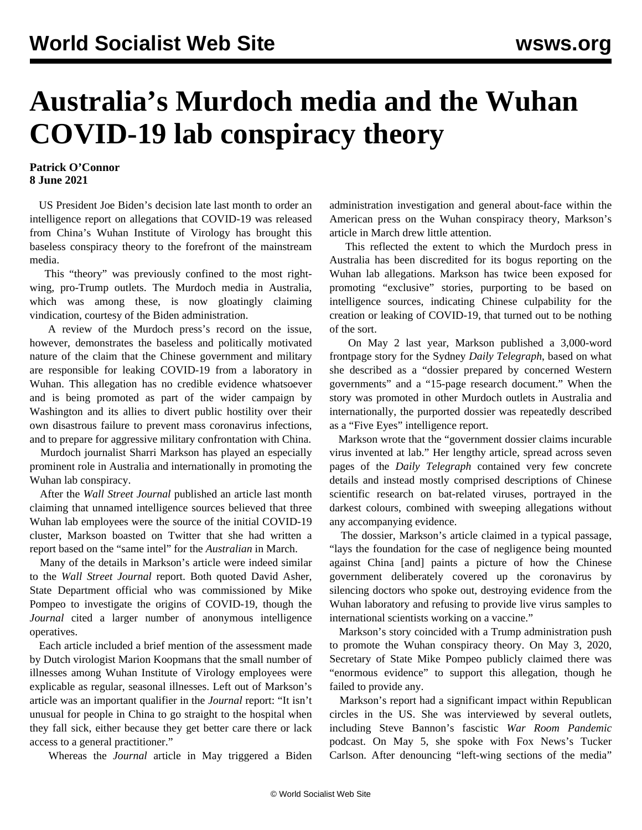## **Australia's Murdoch media and the Wuhan COVID-19 lab conspiracy theory**

## **Patrick O'Connor 8 June 2021**

 US President Joe Biden's decision late last month to order an intelligence report on allegations that COVID-19 was released from China's Wuhan Institute of Virology has brought this baseless conspiracy theory to the forefront of the mainstream media.

 This "theory" was previously confined to the most rightwing, pro-Trump outlets. The Murdoch media in Australia, which was among these, is now gloatingly claiming vindication, courtesy of the Biden administration.

 A review of the Murdoch press's record on the issue, however, demonstrates the baseless and politically motivated nature of the claim that the Chinese government and military are responsible for leaking COVID-19 from a laboratory in Wuhan. This allegation has no credible evidence whatsoever and is being promoted as part of the wider campaign by Washington and its allies to divert public hostility over their own disastrous failure to prevent mass coronavirus infections, and to prepare for aggressive military confrontation with China.

 Murdoch journalist Sharri Markson has played an especially prominent role in Australia and internationally in promoting the Wuhan lab conspiracy.

 After the *Wall Street Journal* published an article last month claiming that unnamed intelligence sources believed that three Wuhan lab employees were the source of the initial COVID-19 cluster, Markson boasted on Twitter that she had written a report based on the "same intel" for the *Australian* in March.

 Many of the details in Markson's article were indeed similar to the *Wall Street Journal* report. Both quoted David Asher, State Department official who was commissioned by Mike Pompeo to investigate the origins of COVID-19, though the *Journal* cited a larger number of anonymous intelligence operatives.

 Each article included a brief mention of the assessment made by Dutch virologist Marion Koopmans that the small number of illnesses among Wuhan Institute of Virology employees were explicable as regular, seasonal illnesses. Left out of Markson's article was an important qualifier in the *Journal* report: "It isn't unusual for people in China to go straight to the hospital when they fall sick, either because they get better care there or lack access to a general practitioner."

Whereas the *Journal* article in May triggered a Biden

administration investigation and general about-face within the American press on the Wuhan conspiracy theory, Markson's article in March drew little attention.

 This reflected the extent to which the Murdoch press in Australia has been discredited for its bogus reporting on the Wuhan lab allegations. Markson has twice been exposed for promoting "exclusive" stories, purporting to be based on intelligence sources, indicating Chinese culpability for the creation or leaking of COVID-19, that turned out to be nothing of the sort.

 On May 2 last year, Markson published a 3,000-word frontpage story for the Sydney *Daily Telegraph*, based on what she described as a "dossier prepared by concerned Western governments" and a "15-page research document." When the story was promoted in other Murdoch outlets in Australia and internationally, the purported dossier was repeatedly described as a "Five Eyes" intelligence report.

 Markson wrote that the "government dossier claims incurable virus invented at lab." Her lengthy article, spread across seven pages of the *Daily Telegraph* contained very few concrete details and instead mostly comprised descriptions of Chinese scientific research on bat-related viruses, portrayed in the darkest colours, combined with sweeping allegations without any accompanying evidence.

 The dossier, Markson's article claimed in a typical passage, "lays the foundation for the case of negligence being mounted against China [and] paints a picture of how the Chinese government deliberately covered up the coronavirus by silencing doctors who spoke out, destroying evidence from the Wuhan laboratory and refusing to provide live virus samples to international scientists working on a vaccine."

 Markson's story coincided with a Trump administration push to promote the Wuhan conspiracy theory. On May 3, 2020, Secretary of State Mike Pompeo publicly claimed there was "enormous evidence" to support this allegation, though he failed to provide any.

 Markson's report had a significant impact within Republican circles in the US. She was interviewed by several outlets, including Steve Bannon's fascistic *War Room Pandemic* podcast. On May 5, she spoke with Fox News's Tucker Carlson. After denouncing "left-wing sections of the media"